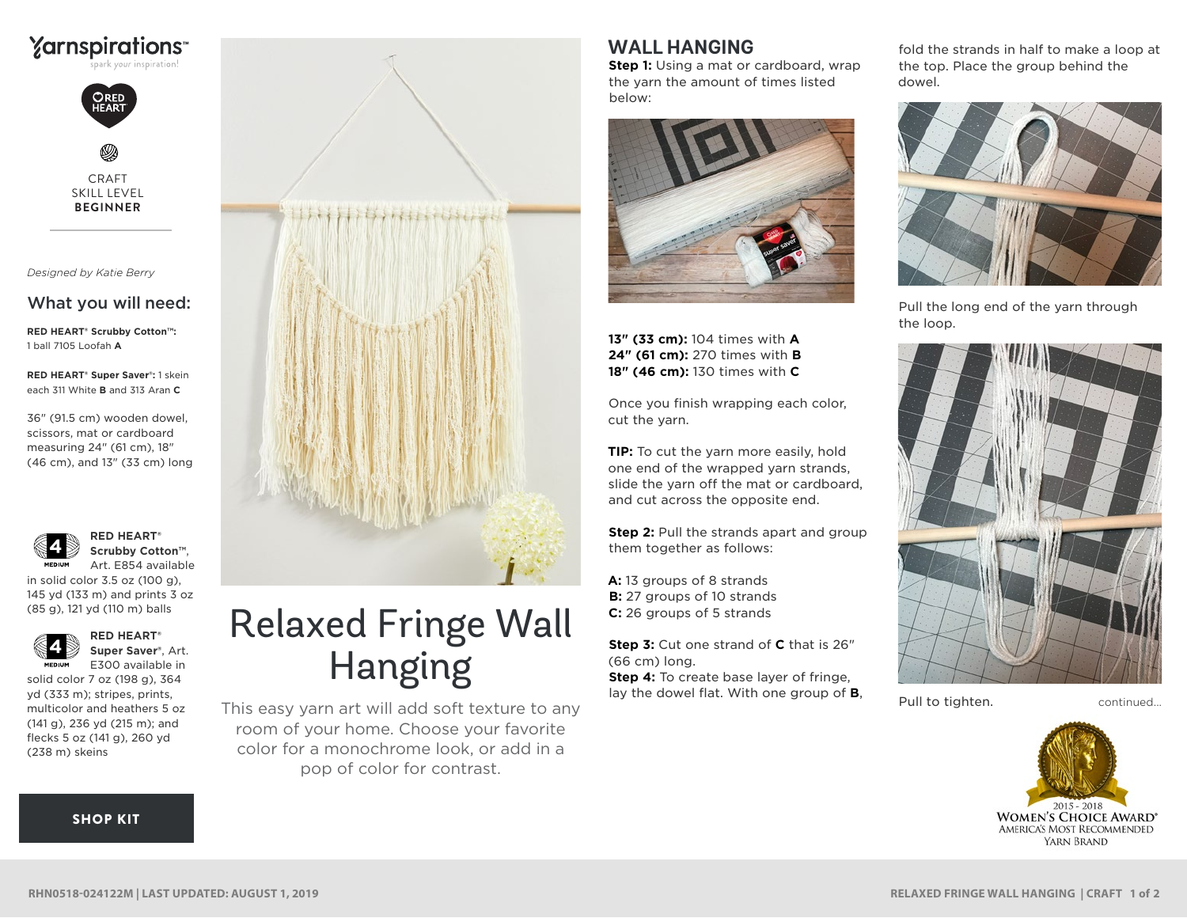



CRAFT SKILL LEVEL **BEGINNER**

*Designed by Katie Berry*

## What you will need:

**RED HEART® Scrubby Cotton™:** 1 ball 7105 Loofah **A**

**RED HEART® Super Saver®:** 1 skein each 311 White **B** and 313 Aran **C**

36" (91.5 cm) wooden dowel, scissors, mat or cardboard measuring 24" (61 cm), 18" (46 cm), and 13" (33 cm) long



**RED HEART® Scrubby Cotton™**, Art. E854 available

in solid color 3.5 oz (100 g), **LACE** 145 yd (133 m) and prints 3 oz (85 g), 121 yd (110 m) balls



**RED HEART® Super Saver®**, Art. E300 available in

solid color 7 oz (198 g), 364 yd (333 m); stripes, prints, multicolor and heathers 5 oz (141 g), 236 yd (215 m); and flecks 5 oz (141 g), 260 yd (238 m) skeins

## [SHOP KIT](https://www.yarnspirations.com/red-heart-relaxed-fringe-wall-hanging/RHN0518-024122M.html#utm_source=pdf-yarnspirations&utm_medium=referral&utm_campaign=pdf-RHN0518-024122M)



## Relaxed Fringe Wall Hanging

This easy yarn art will add soft texture to any room of your home. Choose your favorite color for a monochrome look, or add in a pop of color for contrast.

## **WALL HANGING**

**Step 1:** Using a mat or cardboard, wrap the yarn the amount of times listed below:



**13" (33 cm):** 104 times with **A 24" (61 cm):** 270 times with **B 18" (46 cm):** 130 times with **C**

Once you finish wrapping each color, cut the yarn.

**TIP:** To cut the yarn more easily, hold one end of the wrapped yarn strands, slide the yarn off the mat or cardboard, and cut across the opposite end.

**Step 2:** Pull the strands apart and group them together as follows:

**A:** 13 groups of 8 strands **B:** 27 groups of 10 strands **C:** 26 groups of 5 strands

**Step 3:** Cut one strand of **C** that is 26" (66 cm) long.

**Step 4:** To create base layer of fringe, lay the dowel flat. With one group of **B**, fold the strands in half to make a loop at the top. Place the group behind the dowel.



Pull the long end of the yarn through the loop.



Pull to tighten. The continued...